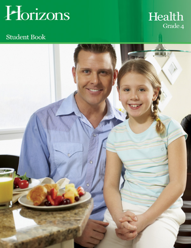

# $\operatorname*{Health}_{\scriptscriptstyle\mathrm{Grade}\,4}$

# **Student Book**

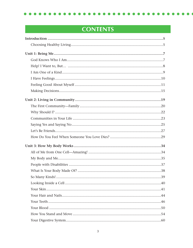# **CONTENTS**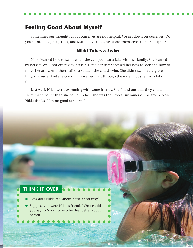# **Feeling Good About Myself**

Sometimes our thoughts about ourselves are not helpful. We get down on ourselves. Do you think Nikki, Ben, Thea, and Mario have thoughts about themselves that are helpful?

#### **Nikki Takes a Swim**

Nikki learned how to swim when she camped near a lake with her family. She learned by herself. Well, not exactly by herself. Her older sister showed her how to kick and how to move her arms. And then—all of a sudden she could swim. She didn't swim very gracefully, of course. And she couldn't move very fast through the water. But she had a lot of fun.

Last week Nikki went swimming with some friends. She found out that they could swim much better than she could. In fact, she was the slowest swimmer of the group. Now Nikki thinks, "I'm no good at sports."

11

## **THINK IT OVER**

- **●** How does Nikki feel about herself and why?
- **●** Suppose you were Nikki's friend. What could you say to Nikki to help her feel better about herself?

 $\bullet\bullet\bullet\bullet\bullet\bullet\bullet$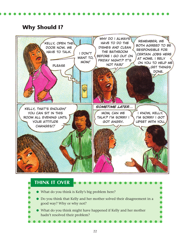# **Why Should I?**



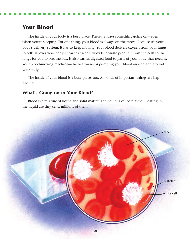## **Your Blood**

The inside of your body is a busy place. There's always something going on—even when you're sleeping. For one thing, your blood is always on the move. Because it's your body's delivery system, it has to keep moving. Your blood delivers oxygen from your lungs to cells all over your body. It carries carbon dioxide, a waste product, from the cells to the lungs for you to breathe out. It also carries digested food to parts of your body that need it. Your blood-moving machine—the heart—keeps pumping your blood around and around your body.

The inside of your blood is a busy place, too. All kinds of important things are happening.

### **What's Going on in Your Blood?**

Blood is a mixture of liquid and solid matter. The liquid is called plasma. Floating in the liquid are tiny cells, millions of them.